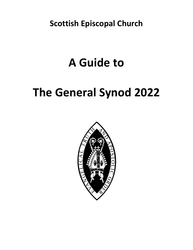**Scottish Episcopal Church**

# **A Guide to**

# **The General Synod 2022**

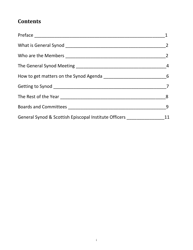# <span id="page-2-0"></span>**Contents**

|                                                                                  | $\overline{9}$ |
|----------------------------------------------------------------------------------|----------------|
| General Synod & Scottish Episcopal Institute Officers __________________________ | 11             |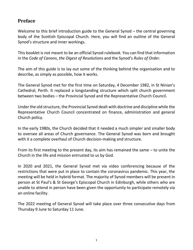### **[Preface](#page-2-0)**

Welcome to this brief introduction guide to the General Synod – the central governing body of the Scottish Episcopal Church. Here, you will find an outline of the General Synod's structure and inner workings.

This booklet is not meant to be an official Synod rulebook. You can find that information in the *Code of Canons*, *the Digest of Resolutions* and the Synod's *Rules of Order*.

The aim of this guide is to lay out some of the thinking behind the organisation and to describe, as simply as possible, how it works.

The General Synod met for the first time on Saturday, 4 December 1982, in St Ninian's Cathedral, Perth. It replaced a longstanding structure which split church government between two bodies – the Provincial Synod and the Representative Church Council.

Under the old structure, the Provincial Synod dealt with doctrine and discipline while the Representative Church Council concentrated on finance, administration and general Church policy.

In the early 1980s, the Church decided that it needed a much simpler and smaller body to oversee all areas of Church governance. The General Synod was born and brought with it a complete overhaul of Church decision-making and structure.

From its first meeting to the present day, its aim has remained the same – to unite the Church in the life and mission entrusted to us by God.

In 2020 and 2021, the General Synod met via video conferencing because of the restrictions that were put in place to contain the coronavirus pandemic. This year, the meeting will be held in hybrid format. The majority of Synod members will be present in person at St Paul's & St George's Episcopal Church in Edinburgh, while others who are unable to attend in person have been given the opportunity to participate remotely via an online facility.

The 2022 meeting of General Synod will take place over three consecutive days from Thursday 9 June to Saturday 11 June.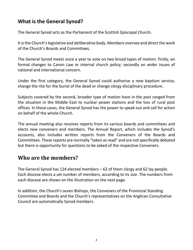## **[What is the General Synod?](#page-2-0)**

The General Synod acts as the Parliament of the Scottish Episcopal Church.

It is the Church's legislative and deliberative body. Members oversee and direct the work of the Church's Boards and Committees.

The General Synod meets once a year to vote on two broad types of motion: firstly, on formal changes to Canon Law or internal church policy; secondly on wider issues of national and international concern.

Under the first category, the General Synod could authorise a new baptism service, change the rite for the burial of the dead or change clergy disciplinary procedure.

Subjects covered by the second, broader type of motion have in the past ranged from the situation in the Middle East to nuclear power stations and the loss of rural post offices. In these cases, the General Synod has the power to speak out and call for action on behalf of the whole Church.

The annual meeting also receives reports from its various boards and committees and elects new conveners and members. The Annual Report, which includes the Synod's accounts, also includes written reports from the Conveners of the Boards and Committees. These reports are normally "taken as read" and are not specifically debated but there is opportunity for questions to be asked of the respective Conveners.

# **[Who are the members?](#page-2-0)**

The General Synod has 124 elected members – 62 of them clergy and 62 lay people. Each diocese elects a set number of members, according to its size. The numbers from each diocese are shown on the illustration on the next page.

In addition, the Church's seven Bishops, the Conveners of the Provincial Standing Committee and Boards and the Church's representatives on the Anglican Consultative Council are automatically Synod members.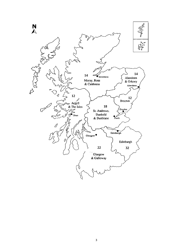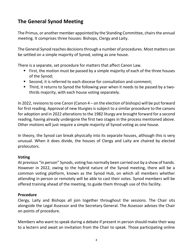## **[The General Synod Meeting](#page-2-0)**

The Primus, or another member appointed by the Standing Committee, chairs the annual meeting. It comprises three houses: Bishops, Clergy and Laity.

The General Synod reaches decisions through a number of procedures. Most matters can be settled on a simple majority of Synod, voting as one house.

There is a separate, set procedure for matters that affect Canon Law.

- First, the motion must be passed by a simple majority of each of the three houses of the Synod;
- Second, it is referred to each diocese for consultation and comment;
- Third, it returns to Synod the following year when it needs to be passed by a twothirds majority, with each house voting separately.

In 2022, revisions to one Canon (Canon 4 – on the election of bishops) will be put forward for first reading. Approval of new liturgies is subject to a similar procedure to the canons for adoption and in 2022 alterations to the 1982 liturgy are brought forward for a second reading, having already undergone the first two stages in the process mentioned above. Other motions will just require a simple majority of Synod voting as one house.

In theory, the Synod can break physically into its separate houses, although this is very unusual. When it does divide, the houses of Clergy and Laity are chaired by elected prolocutors.

#### **Voting**

At previous "in person" Synods, voting has normally been carried out by a show of hands. However in 2022, owing to the hybrid nature of the Synod meeting, there will be a common voting platform, known as the Synod Hub, on which all members whether attending in person or remotely will be able to cast their votes. Synod members will be offered training ahead of the meeting, to guide them through use of this facility.

#### **Procedure**

Clergy, Laity and Bishops all join together throughout the sessions. The Chair sits alongside the Legal Assessor and the Secretary General. The Assessor advises the Chair on points of procedure.

Members who want to speak during a debate if present in person should make their way to a lectern and await an invitation from the Chair to speak. Those participating online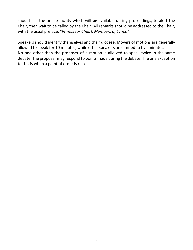should use the online facility which will be available during proceedings, to alert the Chair, then wait to be called by the Chair. All remarks should be addressed to the Chair, with the usual preface: "*Primus (or Chair), Members of Synod*".

Speakers should identify themselves and their diocese. Movers of motions are generally allowed to speak for 10 minutes, while other speakers are limited to five minutes. No one other than the proposer of a motion is allowed to speak twice in the same debate. The proposer may respond to points made during the debate. The one exception to this is when a point of order is raised.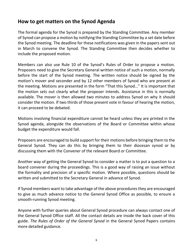## **[How to get matters on the Synod Agenda](#page-2-0)**

The formal agenda for the Synod is prepared by the Standing Committee. Any member of Synod can propose a motion by notifying the Standing Committee by a set date before the Synod meeting. The deadline for these notifications was given in the papers sent out in March to convene the Synod. The Standing Committee then decides whether to include the proposed motion.

Members can also use Rule 10 of the Synod's Rules of Order to propose a motion. Proposers need to give the Secretary General written notice of such a motion, normally before the start of the Synod meeting. The written notice should be signed by the motion's mover and seconder and by 12 other members of Synod who are present at the meeting. Motions are presented in the form "That this Synod…" It is important that the motion sets out clearly what the proposer intends. Assistance in this is normally available. The mover is then allowed two minutes to address Synod on why it should consider the motion. If two thirds of those present vote in favour of hearing the motion, it can proceed to be debated.

Motions involving financial expenditure cannot be heard unless they are printed in the Synod agenda, alongside the observations of the Board or Committee within whose budget the expenditure would fall.

Proposers are encouraged to build support for their motions before bringing them to the General Synod. They can do this by bringing them to their diocesan synod or by discussing them with the Convener of the relevant Board or Committee.

Another way of getting the General Synod to consider a matter is to put a question to a board convener during the proceedings. This is a good way of raising an issue without the formality and precision of a specific motion. Where possible, questions should be written and submitted to the Secretary General in advance of Synod.

If Synod members want to take advantage of the above procedures they are encouraged to give as much advance notice to the General Synod Office as possible, to ensure a smooth-running Synod meeting.

Anyone with further queries about General Synod procedure can always contact one of the General Synod Office staff. All the contact details are inside the back cover of this guide. *The Rules of Order of the General Synod* in the General Synod Papers contains more detailed guidance.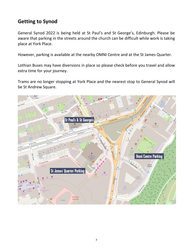## **Getting to Synod**

General Synod 2022 is being held at St Paul's and St George's, Edinburgh. Please be aware that parking in the streets around the church can be difficult while work is taking place at York Place.

However, parking is available at the nearby OMNI Centre and at the St James Quarter.

Lothian Buses may have diversions in place so please check before you travel and allow extra time for your journey.

Trams are no longer stopping at York Place and the nearest stop to General Synod will be St Andrew Square.

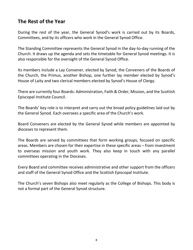## **[The Rest of the Year](#page-2-0)**

During the rest of the year, the General Synod's work is carried out by its Boards, Committees, and by its officers who work in the General Synod Office.

The Standing Committee represents the General Synod in the day-to-day running of the Church. It draws up the agenda and sets the timetable for General Synod meetings. It is also responsible for the oversight of the General Synod Office.

Its members include a Lay Convener, elected by Synod, the Conveners of the Boards of the Church, the Primus, another Bishop, one further lay member elected by Synod's House of Laity and two clerical members elected by Synod's House of Clergy.

There are currently four Boards: Administration, Faith & Order, Mission, and the Scottish Episcopal Institute Council.

The Boards' key role is to interpret and carry out the broad policy guidelines laid out by the General Synod. Each oversees a specific area of the Church's work.

Board Conveners are elected by the General Synod while members are appointed by dioceses to represent them.

The Boards are served by committees that form working groups, focused on specific areas. Members are chosen for their expertise in these specific areas – from investment to overseas mission and youth work. They also keep in touch with any parallel committees operating in the Dioceses.

Every Board and committee receives administrative and other support from the officers and staff of the General Synod Office and the Scottish Episcopal Institute.

The Church's seven Bishops also meet regularly as the College of Bishops. This body is not a formal part of the General Synod structure.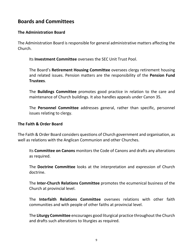## **[Boards and Committees](#page-2-0)**

#### **The Administration Board**

The Administration Board is responsible for general administrative matters affecting the Church.

Its **Investment Committee** oversees the SEC Unit Trust Pool.

The Board's **Retirement Housing Committee** oversees clergy retirement housing and related issues. Pension matters are the responsibility of the **Pension Fund Trustees**.

The **Buildings Committee** promotes good practice in relation to the care and maintenance of Church buildings. It also handles appeals under Canon 35.

The **Personnel Committee** addresses general, rather than specific, personnel issues relating to clergy.

#### **The Faith & Order Board**

The Faith & Order Board considers questions of Church government and organisation, as well as relations with the Anglican Communion and other Churches.

Its **Committee on Canons** monitors the Code of Canons and drafts any alterations as required.

The **Doctrine Committee** looks at the interpretation and expression of Church doctrine.

The **Inter-Church Relations Committee** promotes the ecumenical business of the Church at provincial level.

The **Interfaith Relations Committee** oversees relations with other faith communities and with people of other faiths at provincial level.

The **Liturgy Committee** encourages good liturgical practice throughout the Church and drafts such alterations to liturgies as required.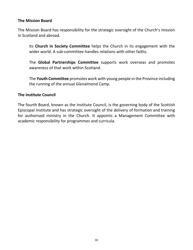#### **The Mission Board**

The Mission Board has responsibility for the strategic oversight of the Church's mission in Scotland and abroad.

Its **Church in Society Committee** helps the Church in its engagement with the wider world. A sub-committee handles relations with other faiths.

The **Global Partnerships Committee** supports work overseas and promotes awareness of that work within Scotland.

The **Youth Committee** promotes work with young people in the Province including the running of the annual Glenalmond Camp.

#### **The Institute Council**

The fourth Board, known as the Institute Council, is the governing body of the Scottish Episcopal Institute and has strategic oversight of the delivery of formation and training for authorised ministry in the Church. It appoints a Management Committee with academic responsibility for programmes and curricula.